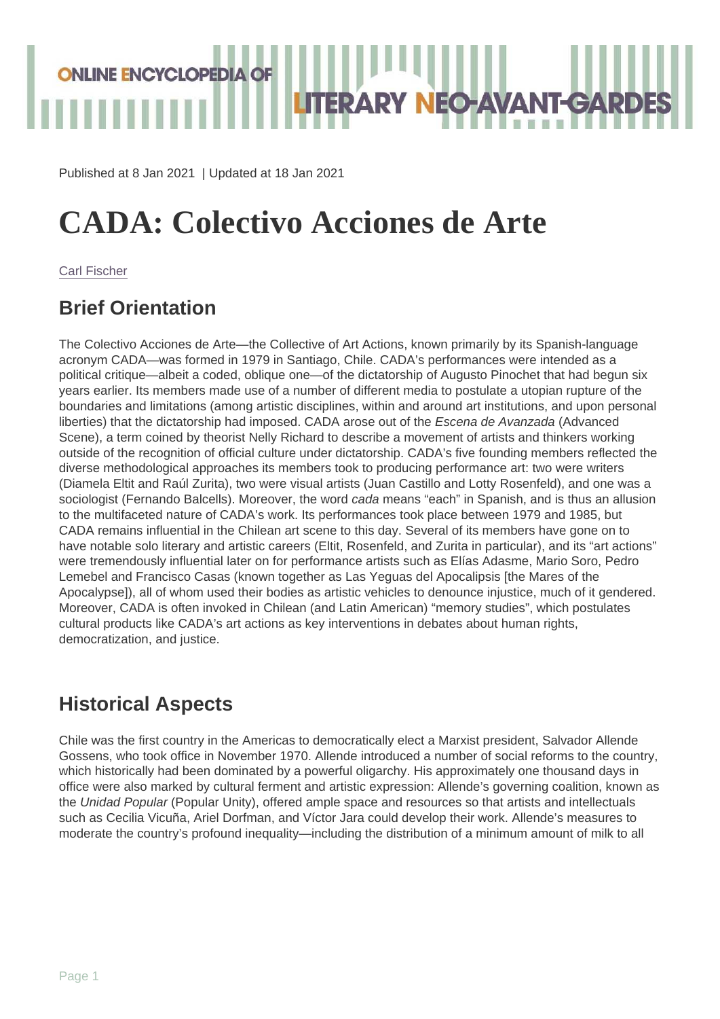Published at 8 Jan 2021 | Updated at 18 Jan 2021

# CADA: Colectivo Acciones de Arte

[Carl Fischer](https://oeln.net/contributors/carl-fischer)

### Brief Orientation

The Colectivo Acciones de Arte—the Collective of Art Actions, known primarily by its Spanish-language acronym CADA—was formed in 1979 in Santiago, Chile. CADA's performances were intended as a political critique—albeit a coded, oblique one—of the dictatorship of Augusto Pinochet that had begun six years earlier. Its members made use of a number of different media to postulate a utopian rupture of the boundaries and limitations (among artistic disciplines, within and around art institutions, and upon personal liberties) that the dictatorship had imposed. CADA arose out of the Escena de Avanzada (Advanced Scene), a term coined by theorist Nelly Richard to describe a movement of artists and thinkers working outside of the recognition of official culture under dictatorship. CADA's five founding members reflected the diverse methodological approaches its members took to producing performance art: two were writers (Diamela Eltit and Raúl Zurita), two were visual artists (Juan Castillo and Lotty Rosenfeld), and one was a sociologist (Fernando Balcells). Moreover, the word cada means "each" in Spanish, and is thus an allusion to the multifaceted nature of CADA's work. Its performances took place between 1979 and 1985, but CADA remains influential in the Chilean art scene to this day. Several of its members have gone on to have notable solo literary and artistic careers (Eltit, Rosenfeld, and Zurita in particular), and its "art actions" were tremendously influential later on for performance artists such as Elías Adasme, Mario Soro, Pedro Lemebel and Francisco Casas (known together as Las Yeguas del Apocalipsis [the Mares of the Apocalypse]), all of whom used their bodies as artistic vehicles to denounce injustice, much of it gendered. Moreover, CADA is often invoked in Chilean (and Latin American) "memory studies", which postulates cultural products like CADA's art actions as key interventions in debates about human rights, democratization, and justice.

#### Historical Aspects

Chile was the first country in the Americas to democratically elect a Marxist president, Salvador Allende Gossens, who took office in November 1970. Allende introduced a number of social reforms to the country, which historically had been dominated by a powerful oligarchy. His approximately one thousand days in office were also marked by cultural ferment and artistic expression: Allende's governing coalition, known as the Unidad Popular (Popular Unity), offered ample space and resources so that artists and intellectuals such as Cecilia Vicuña, Ariel Dorfman, and Víctor Jara could develop their work. Allende's measures to moderate the country's profound inequality—including the distribution of a minimum amount of milk to all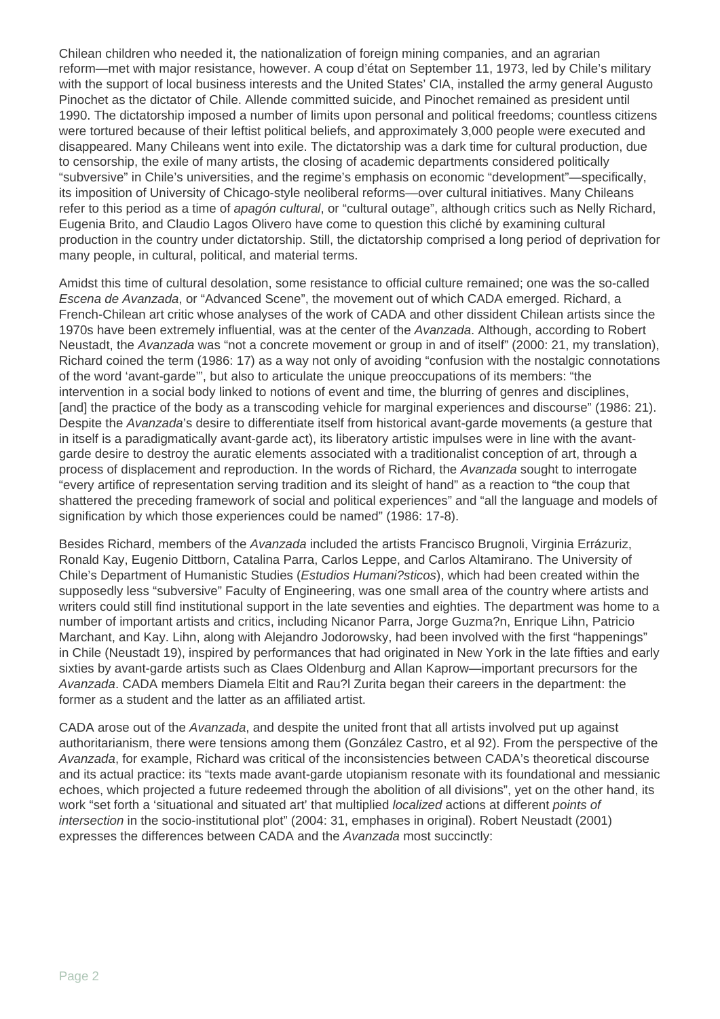Chilean children who needed it, the nationalization of foreign mining companies, and an agrarian reform—met with major resistance, however. A coup d'état on September 11, 1973, led by Chile's military with the support of local business interests and the United States' CIA, installed the army general Augusto Pinochet as the dictator of Chile. Allende committed suicide, and Pinochet remained as president until 1990. The dictatorship imposed a number of limits upon personal and political freedoms; countless citizens were tortured because of their leftist political beliefs, and approximately 3,000 people were executed and disappeared. Many Chileans went into exile. The dictatorship was a dark time for cultural production, due to censorship, the exile of many artists, the closing of academic departments considered politically "subversive" in Chile's universities, and the regime's emphasis on economic "development"—specifically, its imposition of University of Chicago-style neoliberal reforms—over cultural initiatives. Many Chileans refer to this period as a time of *apagón cultural*, or "cultural outage", although critics such as Nelly Richard, Eugenia Brito, and Claudio Lagos Olivero have come to question this cliché by examining cultural production in the country under dictatorship. Still, the dictatorship comprised a long period of deprivation for many people, in cultural, political, and material terms.

Amidst this time of cultural desolation, some resistance to official culture remained; one was the so-called Escena de Avanzada, or "Advanced Scene", the movement out of which CADA emerged. Richard, a French-Chilean art critic whose analyses of the work of CADA and other dissident Chilean artists since the 1970s have been extremely influential, was at the center of the Avanzada. Although, according to Robert Neustadt, the Avanzada was "not a concrete movement or group in and of itself" (2000: 21, my translation), Richard coined the term (1986: 17) as a way not only of avoiding "confusion with the nostalgic connotations of the word 'avant-garde'", but also to articulate the unique preoccupations of its members: "the intervention in a social body linked to notions of event and time, the blurring of genres and disciplines, [and] the practice of the body as a transcoding vehicle for marginal experiences and discourse" (1986: 21). Despite the Avanzada's desire to differentiate itself from historical avant-garde movements (a gesture that in itself is a paradigmatically avant-garde act), its liberatory artistic impulses were in line with the avantgarde desire to destroy the auratic elements associated with a traditionalist conception of art, through a process of displacement and reproduction. In the words of Richard, the Avanzada sought to interrogate "every artifice of representation serving tradition and its sleight of hand" as a reaction to "the coup that shattered the preceding framework of social and political experiences" and "all the language and models of signification by which those experiences could be named" (1986: 17-8).

Besides Richard, members of the Avanzada included the artists Francisco Brugnoli, Virginia Errázuriz, Ronald Kay, Eugenio Dittborn, Catalina Parra, Carlos Leppe, and Carlos Altamirano. The University of Chile's Department of Humanistic Studies (Estudios Humani?sticos), which had been created within the supposedly less "subversive" Faculty of Engineering, was one small area of the country where artists and writers could still find institutional support in the late seventies and eighties. The department was home to a number of important artists and critics, including Nicanor Parra, Jorge Guzma?n, Enrique Lihn, Patricio Marchant, and Kay. Lihn, along with Alejandro Jodorowsky, had been involved with the first "happenings" in Chile (Neustadt 19), inspired by performances that had originated in New York in the late fifties and early sixties by avant-garde artists such as Claes Oldenburg and Allan Kaprow—important precursors for the Avanzada. CADA members Diamela Eltit and Rau?l Zurita began their careers in the department: the former as a student and the latter as an affiliated artist.

CADA arose out of the Avanzada, and despite the united front that all artists involved put up against authoritarianism, there were tensions among them (González Castro, et al 92). From the perspective of the Avanzada, for example, Richard was critical of the inconsistencies between CADA's theoretical discourse and its actual practice: its "texts made avant-garde utopianism resonate with its foundational and messianic echoes, which projected a future redeemed through the abolition of all divisions", yet on the other hand, its work "set forth a 'situational and situated art' that multiplied *localized* actions at different *points of* intersection in the socio-institutional plot" (2004: 31, emphases in original). Robert Neustadt (2001) expresses the differences between CADA and the Avanzada most succinctly: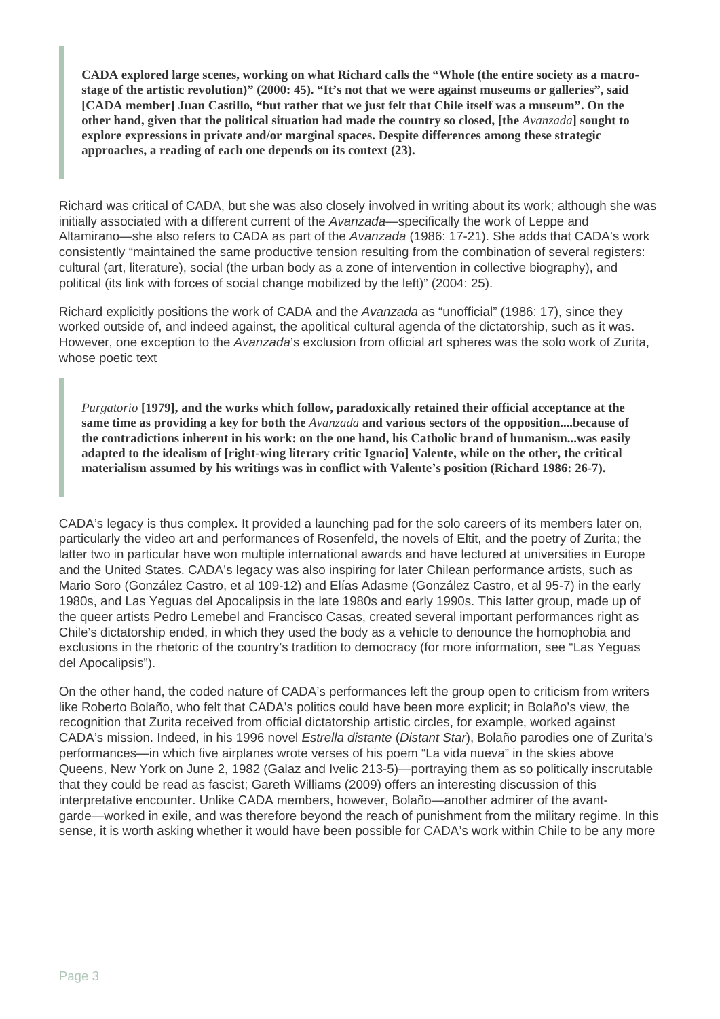**CADA explored large scenes, working on what Richard calls the "Whole (the entire society as a macrostage of the artistic revolution)" (2000: 45). "It's not that we were against museums or galleries", said [CADA member] Juan Castillo, "but rather that we just felt that Chile itself was a museum". On the other hand, given that the political situation had made the country so closed, [the** *Avanzada***] sought to explore expressions in private and/or marginal spaces. Despite differences among these strategic approaches, a reading of each one depends on its context (23).**

Richard was critical of CADA, but she was also closely involved in writing about its work; although she was initially associated with a different current of the Avanzada-specifically the work of Leppe and Altamirano—she also refers to CADA as part of the Avanzada (1986: 17-21). She adds that CADA's work consistently "maintained the same productive tension resulting from the combination of several registers: cultural (art, literature), social (the urban body as a zone of intervention in collective biography), and political (its link with forces of social change mobilized by the left)" (2004: 25).

Richard explicitly positions the work of CADA and the Avanzada as "unofficial" (1986: 17), since they worked outside of, and indeed against, the apolitical cultural agenda of the dictatorship, such as it was. However, one exception to the *Avanzada*'s exclusion from official art spheres was the solo work of Zurita, whose poetic text

*Purgatorio* **[1979], and the works which follow, paradoxically retained their official acceptance at the same time as providing a key for both the** *Avanzada* **and various sectors of the opposition....because of the contradictions inherent in his work: on the one hand, his Catholic brand of humanism...was easily adapted to the idealism of [right-wing literary critic Ignacio] Valente, while on the other, the critical materialism assumed by his writings was in conflict with Valente's position (Richard 1986: 26-7).**

CADA's legacy is thus complex. It provided a launching pad for the solo careers of its members later on, particularly the video art and performances of Rosenfeld, the novels of Eltit, and the poetry of Zurita; the latter two in particular have won multiple international awards and have lectured at universities in Europe and the United States. CADA's legacy was also inspiring for later Chilean performance artists, such as Mario Soro (González Castro, et al 109-12) and Elías Adasme (González Castro, et al 95-7) in the early 1980s, and Las Yeguas del Apocalipsis in the late 1980s and early 1990s. This latter group, made up of the queer artists Pedro Lemebel and Francisco Casas, created several important performances right as Chile's dictatorship ended, in which they used the body as a vehicle to denounce the homophobia and exclusions in the rhetoric of the country's tradition to democracy (for more information, see "Las Yeguas del Apocalipsis").

On the other hand, the coded nature of CADA's performances left the group open to criticism from writers like Roberto Bolaño, who felt that CADA's politics could have been more explicit; in Bolaño's view, the recognition that Zurita received from official dictatorship artistic circles, for example, worked against CADA's mission. Indeed, in his 1996 novel Estrella distante (Distant Star), Bolaño parodies one of Zurita's performances—in which five airplanes wrote verses of his poem "La vida nueva" in the skies above Queens, New York on June 2, 1982 (Galaz and Ivelic 213-5)—portraying them as so politically inscrutable that they could be read as fascist; Gareth Williams (2009) offers an interesting discussion of this interpretative encounter. Unlike CADA members, however, Bolaño—another admirer of the avantgarde—worked in exile, and was therefore beyond the reach of punishment from the military regime. In this sense, it is worth asking whether it would have been possible for CADA's work within Chile to be any more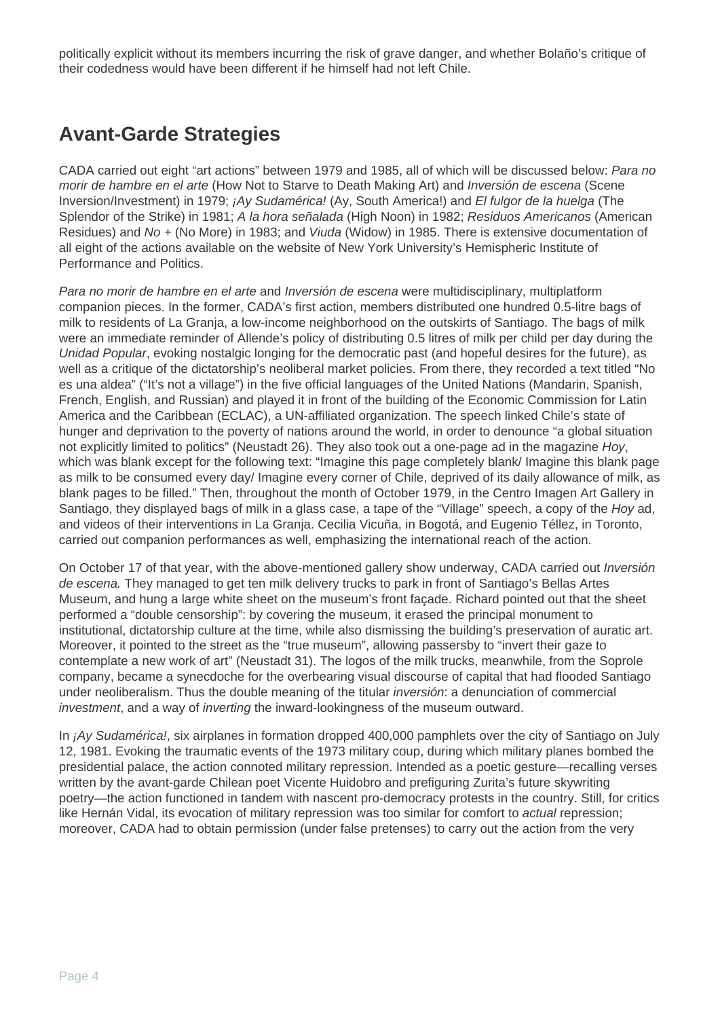politically explicit without its members incurring the risk of grave danger, and whether Bolaño's critique of their codedness would have been different if he himself had not left Chile.

# **Avant-Garde Strategies**

CADA carried out eight "art actions" between 1979 and 1985, all of which will be discussed below: Para no morir de hambre en el arte (How Not to Starve to Death Making Art) and Inversión de escena (Scene Inversion/Investment) in 1979; ¡Ay Sudamérica! (Ay, South America!) and El fulgor de la huelga (The Splendor of the Strike) in 1981; A la hora señalada (High Noon) in 1982; Residuos Americanos (American Residues) and No + (No More) in 1983; and Viuda (Widow) in 1985. There is extensive documentation of all eight of the actions available on the website of New York University's Hemispheric Institute of Performance and Politics.

Para no morir de hambre en el arte and Inversión de escena were multidisciplinary, multiplatform companion pieces. In the former, CADA's first action, members distributed one hundred 0.5-litre bags of milk to residents of La Granja, a low-income neighborhood on the outskirts of Santiago. The bags of milk were an immediate reminder of Allende's policy of distributing 0.5 litres of milk per child per day during the Unidad Popular, evoking nostalgic longing for the democratic past (and hopeful desires for the future), as well as a critique of the dictatorship's neoliberal market policies. From there, they recorded a text titled "No es una aldea" ("It's not a village") in the five official languages of the United Nations (Mandarin, Spanish, French, English, and Russian) and played it in front of the building of the Economic Commission for Latin America and the Caribbean (ECLAC), a UN-affiliated organization. The speech linked Chile's state of hunger and deprivation to the poverty of nations around the world, in order to denounce "a global situation not explicitly limited to politics" (Neustadt 26). They also took out a one-page ad in the magazine Hoy, which was blank except for the following text: "Imagine this page completely blank/ Imagine this blank page as milk to be consumed every day/ Imagine every corner of Chile, deprived of its daily allowance of milk, as blank pages to be filled." Then, throughout the month of October 1979, in the Centro Imagen Art Gallery in Santiago, they displayed bags of milk in a glass case, a tape of the "Village" speech, a copy of the Hoy ad, and videos of their interventions in La Granja. Cecilia Vicuña, in Bogotá, and Eugenio Téllez, in Toronto, carried out companion performances as well, emphasizing the international reach of the action.

On October 17 of that year, with the above-mentioned gallery show underway, CADA carried out *Inversión* de escena. They managed to get ten milk delivery trucks to park in front of Santiago's Bellas Artes Museum, and hung a large white sheet on the museum's front façade. Richard pointed out that the sheet performed a "double censorship": by covering the museum, it erased the principal monument to institutional, dictatorship culture at the time, while also dismissing the building's preservation of auratic art. Moreover, it pointed to the street as the "true museum", allowing passersby to "invert their gaze to contemplate a new work of art" (Neustadt 31). The logos of the milk trucks, meanwhile, from the Soprole company, became a synecdoche for the overbearing visual discourse of capital that had flooded Santiago under neoliberalism. Thus the double meaning of the titular inversión: a denunciation of commercial investment, and a way of inverting the inward-lookingness of the museum outward.

In *¡Ay Sudamérica!*, six airplanes in formation dropped 400,000 pamphlets over the city of Santiago on July 12, 1981. Evoking the traumatic events of the 1973 military coup, during which military planes bombed the presidential palace, the action connoted military repression. Intended as a poetic gesture—recalling verses written by the avant-garde Chilean poet Vicente Huidobro and prefiguring Zurita's future skywriting poetry—the action functioned in tandem with nascent pro-democracy protests in the country. Still, for critics like Hernán Vidal, its evocation of military repression was too similar for comfort to actual repression; moreover, CADA had to obtain permission (under false pretenses) to carry out the action from the very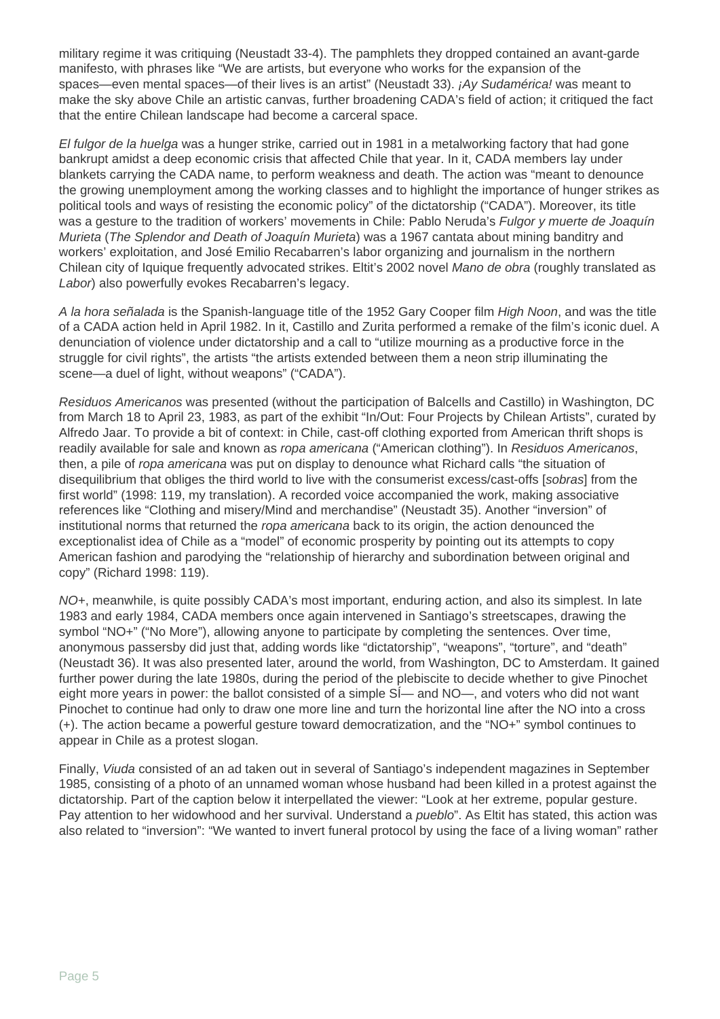military regime it was critiquing (Neustadt 33-4). The pamphlets they dropped contained an avant-garde manifesto, with phrases like "We are artists, but everyone who works for the expansion of the spaces—even mental spaces—of their lives is an artist" (Neustadt 33).  $i$ Ay Sudamérica! was meant to make the sky above Chile an artistic canvas, further broadening CADA's field of action; it critiqued the fact that the entire Chilean landscape had become a carceral space.

El fulgor de la huelga was a hunger strike, carried out in 1981 in a metalworking factory that had gone bankrupt amidst a deep economic crisis that affected Chile that year. In it, CADA members lay under blankets carrying the CADA name, to perform weakness and death. The action was "meant to denounce the growing unemployment among the working classes and to highlight the importance of hunger strikes as political tools and ways of resisting the economic policy" of the dictatorship ("CADA"). Moreover, its title was a gesture to the tradition of workers' movements in Chile: Pablo Neruda's Fulgor y muerte de Joaquín Murieta (The Splendor and Death of Joaquín Murieta) was a 1967 cantata about mining banditry and workers' exploitation, and José Emilio Recabarren's labor organizing and journalism in the northern Chilean city of Iquique frequently advocated strikes. Eltit's 2002 novel Mano de obra (roughly translated as Labor) also powerfully evokes Recabarren's legacy.

A la hora señalada is the Spanish-language title of the 1952 Gary Cooper film High Noon, and was the title of a CADA action held in April 1982. In it, Castillo and Zurita performed a remake of the film's iconic duel. A denunciation of violence under dictatorship and a call to "utilize mourning as a productive force in the struggle for civil rights", the artists "the artists extended between them a neon strip illuminating the scene—a duel of light, without weapons" ("CADA").

Residuos Americanos was presented (without the participation of Balcells and Castillo) in Washington, DC from March 18 to April 23, 1983, as part of the exhibit "In/Out: Four Projects by Chilean Artists", curated by Alfredo Jaar. To provide a bit of context: in Chile, cast-off clothing exported from American thrift shops is readily available for sale and known as ropa americana ("American clothing"). In Residuos Americanos, then, a pile of ropa americana was put on display to denounce what Richard calls "the situation of disequilibrium that obliges the third world to live with the consumerist excess/cast-offs [sobras] from the first world" (1998: 119, my translation). A recorded voice accompanied the work, making associative references like "Clothing and misery/Mind and merchandise" (Neustadt 35). Another "inversion" of institutional norms that returned the ropa americana back to its origin, the action denounced the exceptionalist idea of Chile as a "model" of economic prosperity by pointing out its attempts to copy American fashion and parodying the "relationship of hierarchy and subordination between original and copy" (Richard 1998: 119).

NO+, meanwhile, is quite possibly CADA's most important, enduring action, and also its simplest. In late 1983 and early 1984, CADA members once again intervened in Santiago's streetscapes, drawing the symbol "NO+" ("No More"), allowing anyone to participate by completing the sentences. Over time, anonymous passersby did just that, adding words like "dictatorship", "weapons", "torture", and "death" (Neustadt 36). It was also presented later, around the world, from Washington, DC to Amsterdam. It gained further power during the late 1980s, during the period of the plebiscite to decide whether to give Pinochet eight more years in power: the ballot consisted of a simple SÍ— and NO—, and voters who did not want Pinochet to continue had only to draw one more line and turn the horizontal line after the NO into a cross (+). The action became a powerful gesture toward democratization, and the "NO+" symbol continues to appear in Chile as a protest slogan.

Finally, Viuda consisted of an ad taken out in several of Santiago's independent magazines in September 1985, consisting of a photo of an unnamed woman whose husband had been killed in a protest against the dictatorship. Part of the caption below it interpellated the viewer: "Look at her extreme, popular gesture. Pay attention to her widowhood and her survival. Understand a *pueblo*". As Eltit has stated, this action was also related to "inversion": "We wanted to invert funeral protocol by using the face of a living woman" rather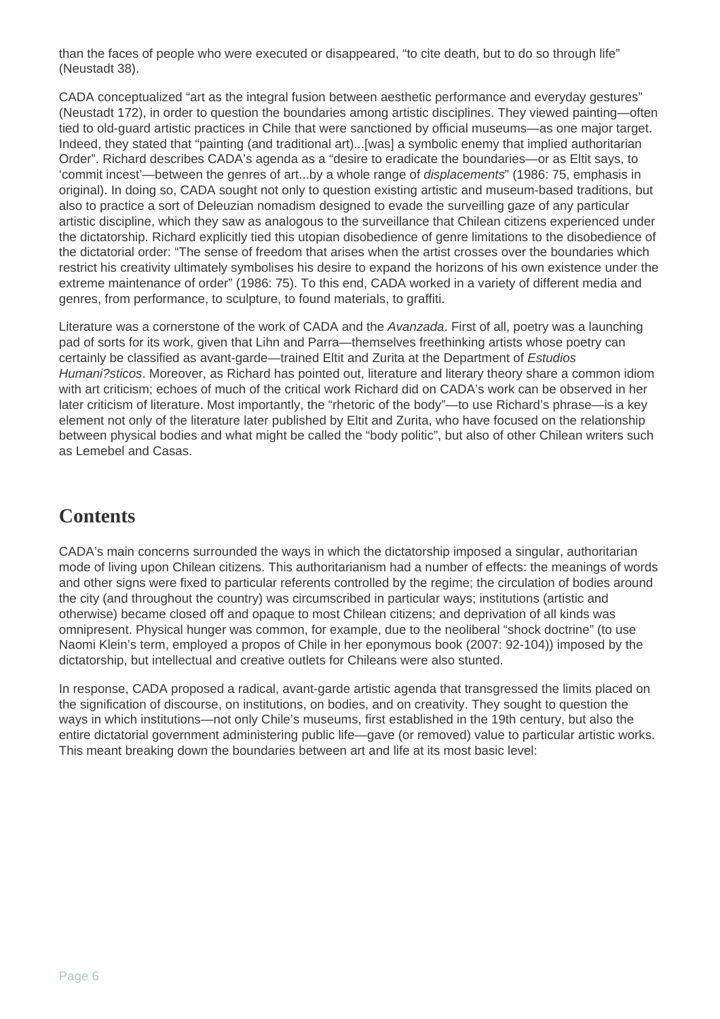than the faces of people who were executed or disappeared, "to cite death, but to do so through life" (Neustadt 38).

CADA conceptualized "art as the integral fusion between aesthetic performance and everyday gestures" (Neustadt 172), in order to question the boundaries among artistic disciplines. They viewed painting—often tied to old-guard artistic practices in Chile that were sanctioned by official museums—as one major target. Indeed, they stated that "painting (and traditional art)...[was] a symbolic enemy that implied authoritarian Order". Richard describes CADA's agenda as a "desire to eradicate the boundaries—or as Eltit says, to 'commit incest'—between the genres of art...by a whole range of displacements" (1986: 75, emphasis in original). In doing so, CADA sought not only to question existing artistic and museum-based traditions, but also to practice a sort of Deleuzian nomadism designed to evade the surveilling gaze of any particular artistic discipline, which they saw as analogous to the surveillance that Chilean citizens experienced under the dictatorship. Richard explicitly tied this utopian disobedience of genre limitations to the disobedience of the dictatorial order: "The sense of freedom that arises when the artist crosses over the boundaries which restrict his creativity ultimately symbolises his desire to expand the horizons of his own existence under the extreme maintenance of order" (1986: 75). To this end, CADA worked in a variety of different media and genres, from performance, to sculpture, to found materials, to graffiti.

Literature was a cornerstone of the work of CADA and the *Avanzada*. First of all, poetry was a launching pad of sorts for its work, given that Lihn and Parra—themselves freethinking artists whose poetry can certainly be classified as avant-garde—trained Eltit and Zurita at the Department of Estudios Humani?sticos. Moreover, as Richard has pointed out, literature and literary theory share a common idiom with art criticism; echoes of much of the critical work Richard did on CADA's work can be observed in her later criticism of literature. Most importantly, the "rhetoric of the body"—to use Richard's phrase—is a key element not only of the literature later published by Eltit and Zurita, who have focused on the relationship between physical bodies and what might be called the "body politic", but also of other Chilean writers such as Lemebel and Casas.

## **Contents**

CADA's main concerns surrounded the ways in which the dictatorship imposed a singular, authoritarian mode of living upon Chilean citizens. This authoritarianism had a number of effects: the meanings of words and other signs were fixed to particular referents controlled by the regime; the circulation of bodies around the city (and throughout the country) was circumscribed in particular ways; institutions (artistic and otherwise) became closed off and opaque to most Chilean citizens; and deprivation of all kinds was omnipresent. Physical hunger was common, for example, due to the neoliberal "shock doctrine" (to use Naomi Klein's term, employed a propos of Chile in her eponymous book (2007: 92-104)) imposed by the dictatorship, but intellectual and creative outlets for Chileans were also stunted.

In response, CADA proposed a radical, avant-garde artistic agenda that transgressed the limits placed on the signification of discourse, on institutions, on bodies, and on creativity. They sought to question the ways in which institutions—not only Chile's museums, first established in the 19th century, but also the entire dictatorial government administering public life—gave (or removed) value to particular artistic works. This meant breaking down the boundaries between art and life at its most basic level: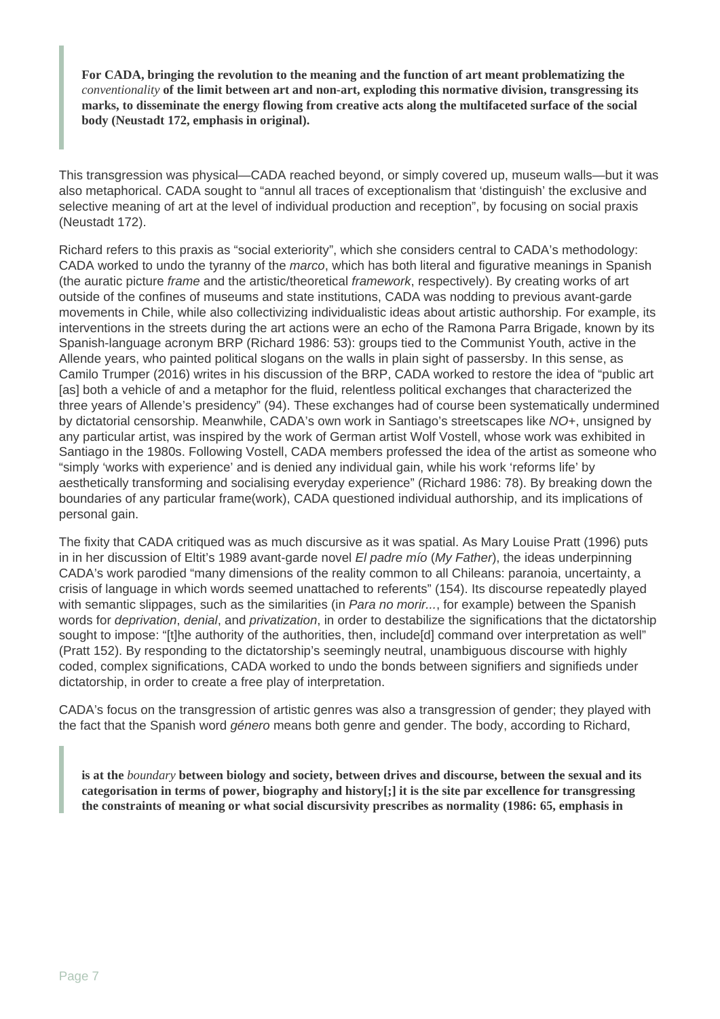**For CADA, bringing the revolution to the meaning and the function of art meant problematizing the** *conventionality* **of the limit between art and non-art, exploding this normative division, transgressing its marks, to disseminate the energy flowing from creative acts along the multifaceted surface of the social body (Neustadt 172, emphasis in original).** 

This transgression was physical—CADA reached beyond, or simply covered up, museum walls—but it was also metaphorical. CADA sought to "annul all traces of exceptionalism that 'distinguish' the exclusive and selective meaning of art at the level of individual production and reception", by focusing on social praxis (Neustadt 172).

Richard refers to this praxis as "social exteriority", which she considers central to CADA's methodology: CADA worked to undo the tyranny of the *marco*, which has both literal and figurative meanings in Spanish (the auratic picture frame and the artistic/theoretical framework, respectively). By creating works of art outside of the confines of museums and state institutions, CADA was nodding to previous avant-garde movements in Chile, while also collectivizing individualistic ideas about artistic authorship. For example, its interventions in the streets during the art actions were an echo of the Ramona Parra Brigade, known by its Spanish-language acronym BRP (Richard 1986: 53): groups tied to the Communist Youth, active in the Allende years, who painted political slogans on the walls in plain sight of passersby. In this sense, as Camilo Trumper (2016) writes in his discussion of the BRP, CADA worked to restore the idea of "public art [as] both a vehicle of and a metaphor for the fluid, relentless political exchanges that characterized the three years of Allende's presidency" (94). These exchanges had of course been systematically undermined by dictatorial censorship. Meanwhile, CADA's own work in Santiago's streetscapes like NO+, unsigned by any particular artist, was inspired by the work of German artist Wolf Vostell, whose work was exhibited in Santiago in the 1980s. Following Vostell, CADA members professed the idea of the artist as someone who "simply 'works with experience' and is denied any individual gain, while his work 'reforms life' by aesthetically transforming and socialising everyday experience" (Richard 1986: 78). By breaking down the boundaries of any particular frame(work), CADA questioned individual authorship, and its implications of personal gain.

The fixity that CADA critiqued was as much discursive as it was spatial. As Mary Louise Pratt (1996) puts in in her discussion of Eltit's 1989 avant-garde novel El padre mío (My Father), the ideas underpinning CADA's work parodied "many dimensions of the reality common to all Chileans: paranoia, uncertainty, a crisis of language in which words seemed unattached to referents" (154). Its discourse repeatedly played with semantic slippages, such as the similarities (in *Para no morir...*, for example) between the Spanish words for *deprivation, denial, and privatization*, in order to destabilize the significations that the dictatorship sought to impose: "[t]he authority of the authorities, then, include[d] command over interpretation as well" (Pratt 152). By responding to the dictatorship's seemingly neutral, unambiguous discourse with highly coded, complex significations, CADA worked to undo the bonds between signifiers and signifieds under dictatorship, in order to create a free play of interpretation.

CADA's focus on the transgression of artistic genres was also a transgression of gender; they played with the fact that the Spanish word *género* means both genre and gender. The body, according to Richard,

**is at the** *boundary* **between biology and society, between drives and discourse, between the sexual and its categorisation in terms of power, biography and history[;] it is the site par excellence for transgressing the constraints of meaning or what social discursivity prescribes as normality (1986: 65, emphasis in**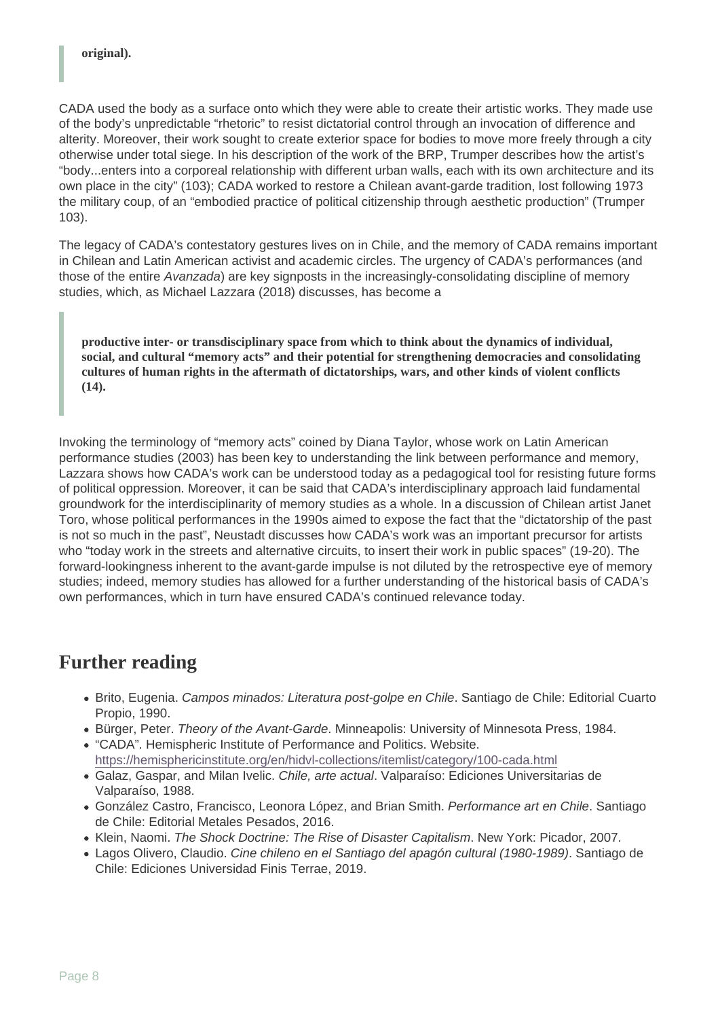CADA used the body as a surface onto which they were able to create their artistic works. They made use of the body's unpredictable "rhetoric" to resist dictatorial control through an invocation of difference and alterity. Moreover, their work sought to create exterior space for bodies to move more freely through a city otherwise under total siege. In his description of the work of the BRP, Trumper describes how the artist's "body...enters into a corporeal relationship with different urban walls, each with its own architecture and its own place in the city" (103); CADA worked to restore a Chilean avant-garde tradition, lost following 1973 the military coup, of an "embodied practice of political citizenship through aesthetic production" (Trumper 103).

The legacy of CADA's contestatory gestures lives on in Chile, and the memory of CADA remains important in Chilean and Latin American activist and academic circles. The urgency of CADA's performances (and those of the entire Avanzada) are key signposts in the increasingly-consolidating discipline of memory studies, which, as Michael Lazzara (2018) discusses, has become a

productive inter- or transdisciplinary space from which to think about the dynamics of individual, social, and cultural "memory acts" and their potential for strengthening democracies and consolidating cultures of human rights in the aftermath of dictatorships, wars, and other kinds of violent conflicts  $(14).$ 

Invoking the terminology of "memory acts" coined by Diana Taylor, whose work on Latin American performance studies (2003) has been key to understanding the link between performance and memory, Lazzara shows how CADA's work can be understood today as a pedagogical tool for resisting future forms of political oppression. Moreover, it can be said that CADA's interdisciplinary approach laid fundamental groundwork for the interdisciplinarity of memory studies as a whole. In a discussion of Chilean artist Janet Toro, whose political performances in the 1990s aimed to expose the fact that the "dictatorship of the past is not so much in the past", Neustadt discusses how CADA's work was an important precursor for artists who "today work in the streets and alternative circuits, to insert their work in public spaces" (19-20). The forward-lookingness inherent to the avant-garde impulse is not diluted by the retrospective eye of memory studies; indeed, memory studies has allowed for a further understanding of the historical basis of CADA's own performances, which in turn have ensured CADA's continued relevance today.

#### Further reading

- Brito, Eugenia. Campos minados: Literatura post-golpe en Chile. Santiago de Chile: Editorial Cuarto Propio, 1990.
- **Bürger, Peter. Theory of the Avant-Garde. Minneapolis: University of Minnesota Press, 1984.**
- "CADA". Hemispheric Institute of Performance and Politics. Website. <https://hemisphericinstitute.org/en/hidvl-collections/itemlist/category/100-cada.html>
- Galaz, Gaspar, and Milan Ivelic. Chile, arte actual. Valparaíso: Ediciones Universitarias de Valparaíso, 1988.
- González Castro, Francisco, Leonora López, and Brian Smith. Performance art en Chile. Santiago de Chile: Editorial Metales Pesados, 2016.
- Klein, Naomi. The Shock Doctrine: The Rise of Disaster Capitalism. New York: Picador, 2007.
- Lagos Olivero, Claudio. Cine chileno en el Santiago del apagón cultural (1980-1989). Santiago de Chile: Ediciones Universidad Finis Terrae, 2019.